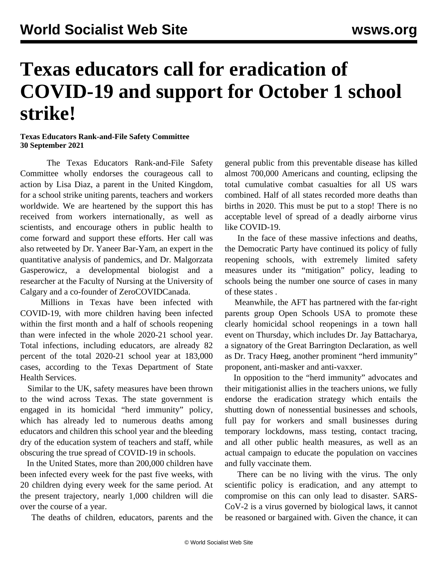## **Texas educators call for eradication of COVID-19 and support for October 1 school strike!**

**Texas Educators Rank-and-File Safety Committee 30 September 2021**

 The Texas Educators Rank-and-File Safety Committee wholly endorses the courageous call to action by Lisa Diaz, a parent in the United Kingdom, for a school strike uniting parents, teachers and workers worldwide. We are heartened by the support this has received from workers internationally, as well as scientists, and encourage others in public health to come forward and support these efforts. Her call was also retweeted by [Dr. Yaneer Bar-Yam,](/en/articles/2021/04/14/inte-a13.html) an expert in the quantitative analysis of pandemics, and [Dr. Malgorzata](/en/articles/2021/09/16/gas2-s16.html) Gasperowicz, a developmental biologist and a researcher at the Faculty of Nursing at the University of Calgary and a co-founder of ZeroCOVIDCanada.

 Millions in Texas have been infected with COVID-19, with more children having been infected within the first month and a half of schools reopening than were infected in the whole 2020-21 school year. Total infections, including educators, are already 82 percent of the total 2020-21 school year at 183,000 cases, according to the Texas Department of State Health Services.

 Similar to the UK, safety measures have been thrown to the wind across Texas. The state government is engaged in its homicidal "herd immunity" policy, which has already led to numerous deaths among educators and children this school year and the bleeding dry of the education system of teachers and staff, while obscuring the true spread of COVID-19 in schools.

 In the United States, more than 200,000 children have been infected every week for the past five weeks, with 20 children dying every week for the same period. At the present trajectory, nearly 1,000 children will die over the course of a year.

The deaths of children, educators, parents and the

general public from this preventable disease has killed almost 700,000 Americans and counting, eclipsing the total cumulative combat casualties for all US wars combined. Half of all states recorded more deaths than births in 2020. This must be put to a stop! There is no acceptable level of spread of a deadly airborne virus like COVID-19.

 In the face of these massive infections and deaths, the Democratic Party have continued its policy of fully reopening schools, with extremely limited safety measures under its "mitigation" policy, leading to schools being the number one source of cases in [many](/en/articles/2021/09/24/55a8-s24.html) [of these states](/en/articles/2021/09/24/55a8-s24.html) .

 Meanwhile, the AFT has partnered with the [far-right](/en/articles/2021/09/30/pers-s30.html) parents group Open Schools USA to promote these clearly homicidal school reopenings in a town hall event on Thursday, which includes Dr. Jay Battacharya, a signatory of the [Great Barrington Declaration](/en/articles/2020/10/16/pers-o16.html), as well as Dr. Tracy Høeg, another prominent "herd immunity" proponent, anti-masker and anti-vaxxer.

 In opposition to the "herd immunity" advocates and their mitigationist allies in the teachers unions, we fully endorse the eradication strategy which entails the shutting down of nonessential businesses and schools, full pay for workers and small businesses during temporary lockdowns, mass testing, contact tracing, and all other public health measures, as well as an actual campaign to educate the population on vaccines and fully vaccinate them.

 There can be no living with the virus. The only scientific policy is eradication, and any attempt to compromise on this can only lead to disaster. SARS-CoV-2 is a virus governed by biological laws, it cannot be reasoned or bargained with. Given the chance, it can